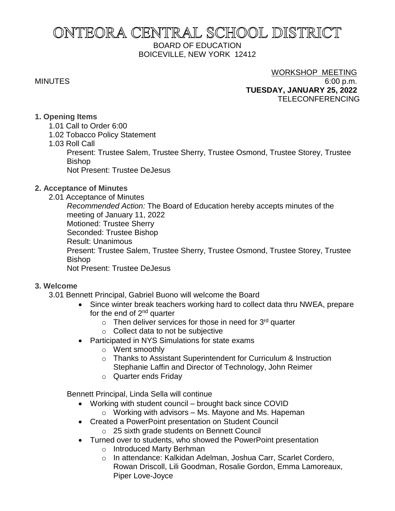# ONTEORA CENTRAL SCHOOL DISTRICT BOARD OF EDUCATION BOICEVILLE, NEW YORK 12412

# WORKSHOP MEETING

MINUTES 6:00 p.m. **TUESDAY, JANUARY 25, 2022** TELECONFERENCING

## **1. Opening Items**

- 1.01 Call to Order 6:00
- 1.02 Tobacco Policy Statement
- 1.03 Roll Call

Present: Trustee Salem, Trustee Sherry, Trustee Osmond, Trustee Storey, Trustee Bishop

Not Present: Trustee DeJesus

## **2. Acceptance of Minutes**

2.01 Acceptance of Minutes

*Recommended Action:* The Board of Education hereby accepts minutes of the meeting of January 11, 2022 Motioned: Trustee Sherry Seconded: Trustee Bishop Result: Unanimous Present: Trustee Salem, Trustee Sherry, Trustee Osmond, Trustee Storey, Trustee Bishop Not Present: Trustee DeJesus

## **3. Welcome**

3.01 Bennett Principal, Gabriel Buono will welcome the Board

- Since winter break teachers working hard to collect data thru NWEA, prepare for the end of 2<sup>nd</sup> quarter
	- $\circ$  Then deliver services for those in need for 3<sup>rd</sup> quarter
	- o Collect data to not be subjective
- Participated in NYS Simulations for state exams
	- o Went smoothly
	- o Thanks to Assistant Superintendent for Curriculum & Instruction Stephanie Laffin and Director of Technology, John Reimer
	- o Quarter ends Friday

Bennett Principal, Linda Sella will continue

- Working with student council brought back since COVID
	- $\circ$  Working with advisors Ms. Mayone and Ms. Hapeman
- Created a PowerPoint presentation on Student Council
	- o 25 sixth grade students on Bennett Council
- Turned over to students, who showed the PowerPoint presentation
	- o Introduced Marty Berhman
	- o In attendance: Kalkidan Adelman, Joshua Carr, Scarlet Cordero, Rowan Driscoll, Lili Goodman, Rosalie Gordon, Emma Lamoreaux, Piper Love-Joyce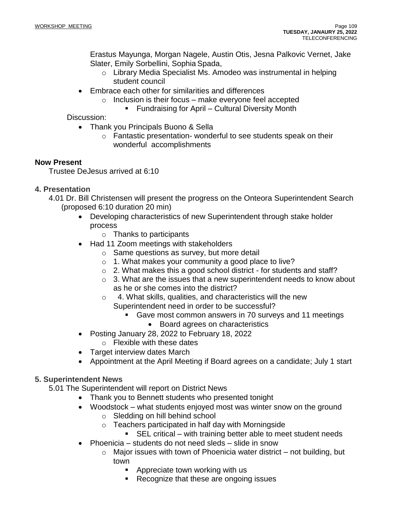Erastus Mayunga, Morgan Nagele, Austin Otis, Jesna Palkovic Vernet, Jake Slater, Emily Sorbellini, Sophia Spada,

- o Library Media Specialist Ms. Amodeo was instrumental in helping student council
- Embrace each other for similarities and differences
	- $\circ$  Inclusion is their focus make everyone feel accepted
		- Fundraising for April Cultural Diversity Month

Discussion:

- Thank you Principals Buono & Sella
	- o Fantastic presentation- wonderful to see students speak on their wonderful accomplishments

## **Now Present**

Trustee DeJesus arrived at 6:10

## **4. Presentation**

- 4.01 Dr. Bill Christensen will present the progress on the Onteora Superintendent Search (proposed 6:10 duration 20 min)
	- Developing characteristics of new Superintendent through stake holder process
		- $\circ$  Thanks to participants
	- Had 11 Zoom meetings with stakeholders
		- o Same questions as survey, but more detail
		- o 1. What makes your community a good place to live?
		- o 2. What makes this a good school district for students and staff?
		- $\circ$  3. What are the issues that a new superintendent needs to know about as he or she comes into the district?
		- o 4. What skills, qualities, and characteristics will the new Superintendent need in order to be successful?
			- Gave most common answers in 70 surveys and 11 meetings
				- Board agrees on characteristics
	- Posting January 28, 2022 to February 18, 2022
		- o Flexible with these dates
	- Target interview dates March
	- Appointment at the April Meeting if Board agrees on a candidate; July 1 start

## **5. Superintendent News**

5.01 The Superintendent will report on District News

- Thank you to Bennett students who presented tonight
- Woodstock what students enjoyed most was winter snow on the ground
	- o Sledding on hill behind school
	- o Teachers participated in half day with Morningside
		- SEL critical with training better able to meet student needs
- Phoenicia students do not need sleds slide in snow
	- $\circ$  Major issues with town of Phoenicia water district not building, but town
		- Appreciate town working with us
		- Recognize that these are ongoing issues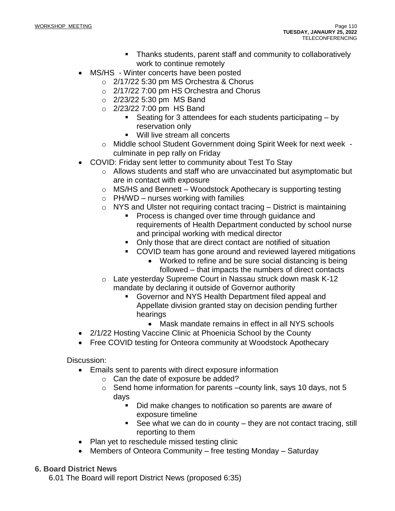- Thanks students, parent staff and community to collaboratively work to continue remotely
- MS/HS Winter concerts have been posted
	- o 2/17/22 5:30 pm MS Orchestra & Chorus
	- $\circ$  2/17/22 7:00 pm HS Orchestra and Chorus
	- o 2/23/22 5:30 pm MS Band
	- $\circ$  2/23/22 7:00 pm HS Band
		- Seating for 3 attendees for each students participating  $-$  by reservation only
		- Will live stream all concerts
	- o Middle school Student Government doing Spirit Week for next week culminate in pep rally on Friday
- COVID: Friday sent letter to community about Test To Stay
	- $\circ$  Allows students and staff who are unvaccinated but asymptomatic but are in contact with exposure
	- o MS/HS and Bennett Woodstock Apothecary is supporting testing
	- $\circ$  PH/WD nurses working with families
	- $\circ$  NYS and Ulster not requiring contact tracing District is maintaining
		- Process is changed over time through guidance and requirements of Health Department conducted by school nurse and principal working with medical director
		- Only those that are direct contact are notified of situation
		- COVID team has gone around and reviewed layered mitigations
			- Worked to refine and be sure social distancing is being followed – that impacts the numbers of direct contacts
	- o Late yesterday Supreme Court in Nassau struck down mask K-12 mandate by declaring it outside of Governor authority
		- Governor and NYS Health Department filed appeal and Appellate division granted stay on decision pending further hearings
			- Mask mandate remains in effect in all NYS schools
- 2/1/22 Hosting Vaccine Clinic at Phoenicia School by the County
- Free COVID testing for Onteora community at Woodstock Apothecary

Discussion:

- Emails sent to parents with direct exposure information
	- o Can the date of exposure be added?
	- o Send home information for parents –county link, says 10 days, not 5 days
		- Did make changes to notification so parents are aware of exposure timeline
		- See what we can do in county they are not contact tracing, still reporting to them
- Plan yet to reschedule missed testing clinic
- Members of Onteora Community free testing Monday Saturday

## **6. Board District News**

6.01 The Board will report District News (proposed 6:35)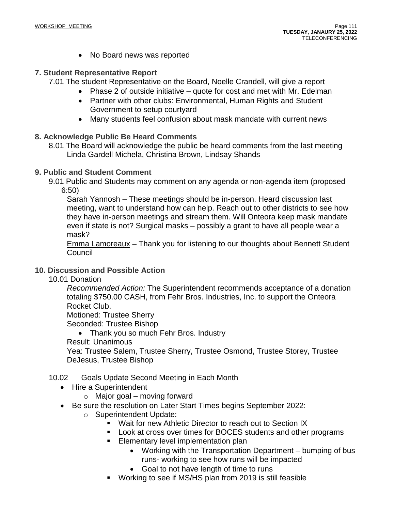• No Board news was reported

## **7. Student Representative Report**

7.01 The student Representative on the Board, Noelle Crandell, will give a report

- Phase 2 of outside initiative quote for cost and met with Mr. Edelman
- Partner with other clubs: Environmental, Human Rights and Student Government to setup courtyard
- Many students feel confusion about mask mandate with current news

## **8. Acknowledge Public Be Heard Comments**

8.01 The Board will acknowledge the public be heard comments from the last meeting Linda Gardell Michela, Christina Brown, Lindsay Shands

## **9. Public and Student Comment**

9.01 Public and Students may comment on any agenda or non-agenda item (proposed 6:50)

Sarah Yannosh – These meetings should be in-person. Heard discussion last meeting, want to understand how can help. Reach out to other districts to see how they have in-person meetings and stream them. Will Onteora keep mask mandate even if state is not? Surgical masks – possibly a grant to have all people wear a mask?

Emma Lamoreaux – Thank you for listening to our thoughts about Bennett Student Council

## **10. Discussion and Possible Action**

10.01 Donation

*Recommended Action:* The Superintendent recommends acceptance of a donation totaling \$750.00 CASH, from Fehr Bros. Industries, Inc. to support the Onteora Rocket Club.

Motioned: Trustee Sherry

Seconded: Trustee Bishop

• Thank you so much Fehr Bros. Industry

Result: Unanimous

Yea: Trustee Salem, Trustee Sherry, Trustee Osmond, Trustee Storey, Trustee DeJesus, Trustee Bishop

## 10.02 Goals Update Second Meeting in Each Month

- Hire a Superintendent
	- $\circ$  Major goal moving forward
- Be sure the resolution on Later Start Times begins September 2022:
	- o Superintendent Update:
		- Wait for new Athletic Director to reach out to Section IX
			- Look at cross over times for BOCES students and other programs
			- Elementary level implementation plan
				- Working with the Transportation Department bumping of bus runs- working to see how runs will be impacted
				- Goal to not have length of time to runs
			- Working to see if MS/HS plan from 2019 is still feasible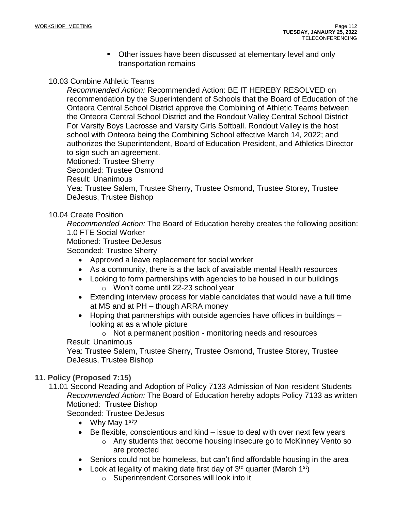■ Other issues have been discussed at elementary level and only transportation remains

## 10.03 Combine Athletic Teams

*Recommended Action:* Recommended Action: BE IT HEREBY RESOLVED on recommendation by the Superintendent of Schools that the Board of Education of the Onteora Central School District approve the Combining of Athletic Teams between the Onteora Central School District and the Rondout Valley Central School District For Varsity Boys Lacrosse and Varsity Girls Softball. Rondout Valley is the host school with Onteora being the Combining School effective March 14, 2022; and authorizes the Superintendent, Board of Education President, and Athletics Director to sign such an agreement.

Motioned: Trustee Sherry Seconded: Trustee Osmond Result: Unanimous Yea: Trustee Salem, Trustee Sherry, Trustee Osmond, Trustee Storey, Trustee DeJesus, Trustee Bishop

## 10.04 Create Position

*Recommended Action:* The Board of Education hereby creates the following position: 1.0 FTE Social Worker

Motioned: Trustee DeJesus

Seconded: Trustee Sherry

- Approved a leave replacement for social worker
- As a community, there is a the lack of available mental Health resources
- Looking to form partnerships with agencies to be housed in our buildings o Won't come until 22-23 school year
- Extending interview process for viable candidates that would have a full time at MS and at PH – though ARRA money
- Hoping that partnerships with outside agencies have offices in buildings looking at as a whole picture

o Not a permanent position - monitoring needs and resources Result: Unanimous

Yea: Trustee Salem, Trustee Sherry, Trustee Osmond, Trustee Storey, Trustee DeJesus, Trustee Bishop

## **11. Policy (Proposed 7:15)**

11.01 Second Reading and Adoption of Policy 7133 Admission of Non-resident Students *Recommended Action:* The Board of Education hereby adopts Policy 7133 as written Motioned: Trustee Bishop

Seconded: Trustee DeJesus

- Why May  $1<sup>st</sup>$ ?
- Be flexible, conscientious and kind issue to deal with over next few years
	- o Any students that become housing insecure go to McKinney Vento so are protected
- Seniors could not be homeless, but can't find affordable housing in the area
- Look at legality of making date first day of  $3<sup>rd</sup>$  quarter (March 1<sup>st</sup>)
	- o Superintendent Corsones will look into it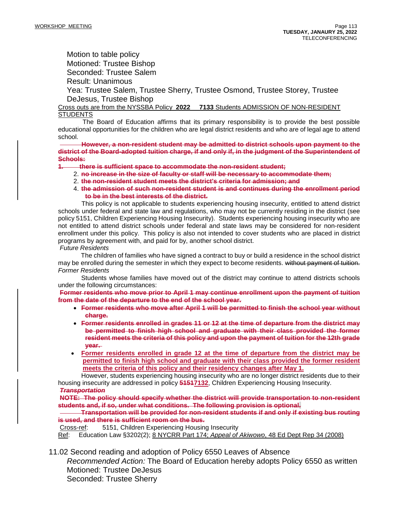Motion to table policy Motioned: Trustee Bishop Seconded: Trustee Salem Result: Unanimous

Yea: Trustee Salem, Trustee Sherry, Trustee Osmond, Trustee Storey, Trustee DeJesus, Trustee Bishop

Cross outs are from the NYSSBA Policy **2022 7133** Students ADMISSION OF NON-RESIDENT **STUDENTS** 

 The Board of Education affirms that its primary responsibility is to provide the best possible educational opportunities for the children who are legal district residents and who are of legal age to attend school.

 **However, a non-resident student may be admitted to district schools upon payment to the district of the Board-adopted tuition charge, if and only if, in the judgment of the Superintendent of Schools:**

#### **1. there is sufficient space to accommodate the non-resident student;**

- 2. **no increase in the size of faculty or staff will be necessary to accommodate them;**
- 2. **the non-resident student meets the district's criteria for admission; and**
- 4. **the admission of such non-resident student is and continues during the enrollment period to be in the best interests of the district.**

 This policy is not applicable to students experiencing housing insecurity, entitled to attend district schools under federal and state law and regulations, who may not be currently residing in the district (see policy 5151, Children Experiencing Housing Insecurity). Students experiencing housing insecurity who are not entitled to attend district schools under federal and state laws may be considered for non-resident enrollment under this policy. This policy is also not intended to cover students who are placed in district programs by agreement with, and paid for by, another school district.

*Future Residents*

 The children of families who have signed a contract to buy or build a residence in the school district may be enrolled during the semester in which they expect to become residents. without payment of tuition. *Former Residents*

Students whose families have moved out of the district may continue to attend districts schools under the following circumstances:

**Former residents who move prior to April 1 may continue enrollment upon the payment of tuition from the date of the departure to the end of the school year.**

- **Former residents who move after April 1 will be permitted to finish the school year without charge.**
- **Former residents enrolled in grades 11 or 12 at the time of departure from the district may be permitted to finish high school and graduate with their class provided the former resident meets the criteria of this policy and upon the payment of tuition for the 12th grade year.**
- **Former residents enrolled in grade 12 at the time of departure from the district may be permitted to finish high school and graduate with their class provided the former resident meets the criteria of this policy and their residency changes after May 1.**

However, students experiencing housing insecurity who are no longer district residents due to their housing insecurity are addressed in policy **51517132**, Children Experiencing Housing Insecurity.

#### *Transportation*

**NOTE: The policy should specify whether the district will provide transportation to non-resident students and, if so, under what conditions. The following provision is optional***.*

 **Transportation will be provided for non-resident students if and only if existing bus routing is used, and there is sufficient room on the bus.**

Cross-ref: 5151, Children Experiencing Housing Insecurity

Ref: Education Law §3202(2); 8 NYCRR Part 174; *Appeal of Akiwowo*, 48 Ed Dept Rep 34 (2008)

11.02 Second reading and adoption of Policy 6550 Leaves of Absence

*Recommended Action:* The Board of Education hereby adopts Policy 6550 as written Motioned: Trustee DeJesus Seconded: Trustee Sherry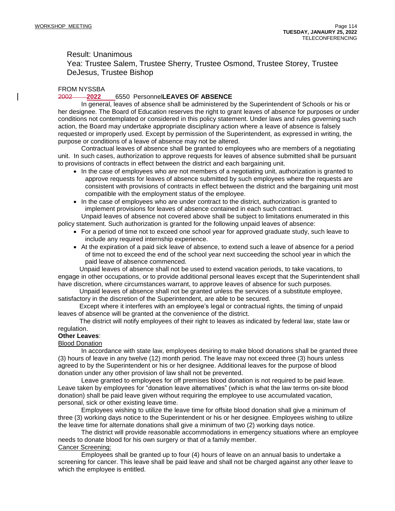## Result: Unanimous

Yea: Trustee Salem, Trustee Sherry, Trustee Osmond, Trustee Storey, Trustee DeJesus, Trustee Bishop

#### FROM NYSSBA

#### 2002 **2022** 6550 Personnel**LEAVES OF ABSENCE**

 In general, leaves of absence shall be administered by the Superintendent of Schools or his or her designee. The Board of Education reserves the right to grant leaves of absence for purposes or under conditions not contemplated or considered in this policy statement. Under laws and rules governing such action, the Board may undertake appropriate disciplinary action where a leave of absence is falsely requested or improperly used. Except by permission of the Superintendent, as expressed in writing, the purpose or conditions of a leave of absence may not be altered.

 Contractual leaves of absence shall be granted to employees who are members of a negotiating unit. In such cases, authorization to approve requests for leaves of absence submitted shall be pursuant to provisions of contracts in effect between the district and each bargaining unit.

- In the case of employees who are not members of a negotiating unit, authorization is granted to approve requests for leaves of absence submitted by such employees where the requests are consistent with provisions of contracts in effect between the district and the bargaining unit most compatible with the employment status of the employee.
- In the case of employees who are under contract to the district, authorization is granted to implement provisions for leaves of absence contained in each such contract.

 Unpaid leaves of absence not covered above shall be subject to limitations enumerated in this policy statement. Such authorization is granted for the following unpaid leaves of absence:

- For a period of time not to exceed one school year for approved graduate study, such leave to include any required internship experience.
- At the expiration of a paid sick leave of absence, to extend such a leave of absence for a period of time not to exceed the end of the school year next succeeding the school year in which the paid leave of absence commenced.

 Unpaid leaves of absence shall not be used to extend vacation periods, to take vacations, to engage in other occupations, or to provide additional personal leaves except that the Superintendent shall have discretion, where circumstances warrant, to approve leaves of absence for such purposes.

 Unpaid leaves of absence shall not be granted unless the services of a substitute employee, satisfactory in the discretion of the Superintendent, are able to be secured.

 Except where it interferes with an employee's legal or contractual rights, the timing of unpaid leaves of absence will be granted at the convenience of the district.

 The district will notify employees of their right to leaves as indicated by federal law, state law or regulation.

#### **Other Leaves**:

#### Blood Donation

In accordance with state law, employees desiring to make blood donations shall be granted three (3) hours of leave in any twelve (12) month period. The leave may not exceed three (3) hours unless agreed to by the Superintendent or his or her designee. Additional leaves for the purpose of blood donation under any other provision of law shall not be prevented.

Leave granted to employees for off premises blood donation is not required to be paid leave. Leave taken by employees for "donation leave alternatives" (which is what the law terms on-site blood donation) shall be paid leave given without requiring the employee to use accumulated vacation, personal, sick or other existing leave time.

Employees wishing to utilize the leave time for offsite blood donation shall give a minimum of three (3) working days notice to the Superintendent or his or her designee. Employees wishing to utilize the leave time for alternate donations shall give a minimum of two (2) working days notice.

The district will provide reasonable accommodations in emergency situations where an employee needs to donate blood for his own surgery or that of a family member. Cancer Screening:

Employees shall be granted up to four (4) hours of leave on an annual basis to undertake a screening for cancer. This leave shall be paid leave and shall not be charged against any other leave to which the employee is entitled.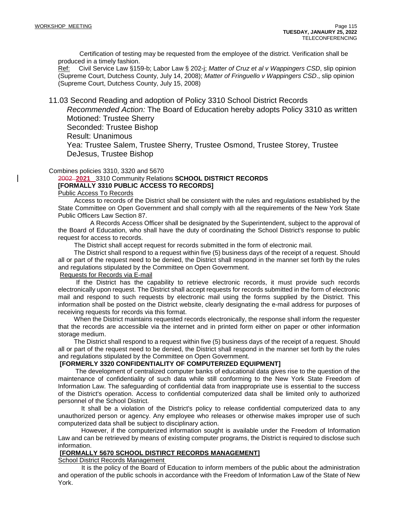Certification of testing may be requested from the employee of the district. Verification shall be produced in a timely fashion.

Ref: Civil Service Law §159-b; Labor Law § 202-j; *Matter of Cruz et al v Wappingers CSD*, slip opinion (Supreme Court, Dutchess County, July 14, 2008); *Matter of Fringuello v Wappingers CSD*., slip opinion (Supreme Court, Dutchess County, July 15, 2008)

11.03 Second Reading and adoption of Policy 3310 School District Records

*Recommended Action:* The Board of Education hereby adopts Policy 3310 as written Motioned: Trustee Sherry

Seconded: Trustee Bishop

Result: Unanimous

Yea: Trustee Salem, Trustee Sherry, Trustee Osmond, Trustee Storey, Trustee DeJesus, Trustee Bishop

#### Combines policies 3310, 3320 and 5670

#### 2002 **2021** 3310 Community Relations **SCHOOL DISTRICT RECORDS [FORMALLY 3310 PUBLIC ACCESS TO RECORDS]**

Public Access To Records

 Access to records of the District shall be consistent with the rules and regulations established by the State Committee on Open Government and shall comply with all the requirements of the New York State Public Officers Law Section 87.

 A Records Access Officer shall be designated by the Superintendent, subject to the approval of the Board of Education, who shall have the duty of coordinating the School District's response to public request for access to records.

The District shall accept request for records submitted in the form of electronic mail.

 The District shall respond to a request within five (5) business days of the receipt of a request. Should all or part of the request need to be denied, the District shall respond in the manner set forth by the rules and regulations stipulated by the Committee on Open Government.

#### Requests for Records via E-mail

 If the District has the capability to retrieve electronic records, it must provide such records electronically upon request. The District shall accept requests for records submitted in the form of electronic mail and respond to such requests by electronic mail using the forms supplied by the District. This information shall be posted on the District website, clearly designating the e-mail address for purposes of receiving requests for records via this format.

 When the District maintains requested records electronically, the response shall inform the requester that the records are accessible via the internet and in printed form either on paper or other information storage medium.

 The District shall respond to a request within five (5) business days of the receipt of a request. Should all or part of the request need to be denied, the District shall respond in the manner set forth by the rules and regulations stipulated by the Committee on Open Government.

#### **[FORMERLY 3320 CONFIDENTIALITY OF COMPUTERIZED EQUIPMENT]**

The development of centralized computer banks of educational data gives rise to the question of the maintenance of confidentiality of such data while still conforming to the New York State Freedom of Information Law. The safeguarding of confidential data from inappropriate use is essential to the success of the District's operation. Access to confidential computerized data shall be limited only to authorized personnel of the School District.

It shall be a violation of the District's policy to release confidential computerized data to any unauthorized person or agency. Any employee who releases or otherwise makes improper use of such computerized data shall be subject to disciplinary action.

However, if the computerized information sought is available under the Freedom of Information Law and can be retrieved by means of existing computer programs, the District is required to disclose such information.

#### **[FORMALLY 5670 SCHOOL DISTIRCT RECORDS MANAGEMENT]**

School District Records Management

 It is the policy of the Board of Education to inform members of the public about the administration and operation of the public schools in accordance with the Freedom of Information Law of the State of New York.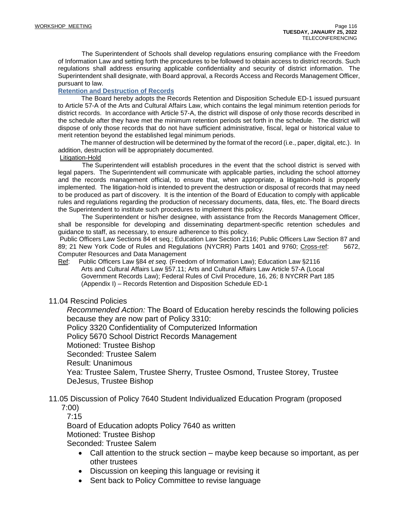The Superintendent of Schools shall develop regulations ensuring compliance with the Freedom of Information Law and setting forth the procedures to be followed to obtain access to district records. Such regulations shall address ensuring applicable confidentiality and security of district information. The Superintendent shall designate, with Board approval, a Records Access and Records Management Officer, pursuant to law.

### **Retention and Destruction of Records**

 The Board hereby adopts the Records Retention and Disposition Schedule ED-1 issued pursuant to Article 57-A of the Arts and Cultural Affairs Law, which contains the legal minimum retention periods for district records. In accordance with Article 57-A, the district will dispose of only those records described in the schedule after they have met the minimum retention periods set forth in the schedule. The district will dispose of only those records that do not have sufficient administrative, fiscal, legal or historical value to merit retention beyond the established legal minimum periods.

 The manner of destruction will be determined by the format of the record (i.e., paper, digital, etc.). In addition, destruction will be appropriately documented.

#### Litigation-Hold

 The Superintendent will establish procedures in the event that the school district is served with legal papers. The Superintendent will communicate with applicable parties, including the school attorney and the records management official, to ensure that, when appropriate, a litigation-hold is properly implemented. The litigation-hold is intended to prevent the destruction or disposal of records that may need to be produced as part of discovery. It is the intention of the Board of Education to comply with applicable rules and regulations regarding the production of necessary documents, data, files, etc. The Board directs the Superintendent to institute such procedures to implement this policy.

 The Superintendent or his/her designee, with assistance from the Records Management Officer, shall be responsible for developing and disseminating department-specific retention schedules and guidance to staff, as necessary, to ensure adherence to this policy.

Public Officers Law Sections 84 et seq.; Education Law Section 2116; Public Officers Law Section 87 and 89; 21 New York Code of Rules and Regulations (NYCRR) Parts 1401 and 9760; Cross-ref: 5672, Computer Resources and Data Management

Ref: Public Officers Law §84 *et seq.* (Freedom of Information Law); Education Law §2116 Arts and Cultural Affairs Law §57.11; Arts and Cultural Affairs Law Article 57-A (Local Government Records Law); Federal Rules of Civil Procedure, 16, 26; 8 NYCRR Part 185 (Appendix I) – Records Retention and Disposition Schedule ED-1

### 11.04 Rescind Policies

*Recommended Action:* The Board of Education hereby rescinds the following policies because they are now part of Policy 3310:

Policy 3320 Confidentiality of Computerized Information

Policy 5670 School District Records Management

Motioned: Trustee Bishop

Seconded: Trustee Salem

Result: Unanimous

Yea: Trustee Salem, Trustee Sherry, Trustee Osmond, Trustee Storey, Trustee DeJesus, Trustee Bishop

## 11.05 Discussion of Policy 7640 Student Individualized Education Program (proposed 7:00)

7:15

Board of Education adopts Policy 7640 as written Motioned: Trustee Bishop Seconded: Trustee Salem

- Call attention to the struck section maybe keep because so important, as per other trustees
- Discussion on keeping this language or revising it
- Sent back to Policy Committee to revise language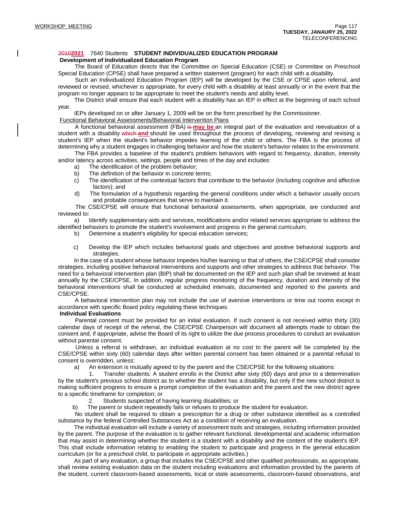#### 2010**2021** 7640 Students **STUDENT INDIVIDUALIZED EDUCATION PROGRAM**

#### **Development of Individualized Education Program**

 The Board of Education directs that the Committee on Special Education (CSE) or Committee on Preschool Special Education (CPSE) shall have prepared a written statement (program) for each child with a disability.

 Such an Individualized Education Program (IEP) will be developed by the CSE or CPSE upon referral, and reviewed or revised, whichever is appropriate, for every child with a disability at least annually or in the event that the program no longer appears to be appropriate to meet the student's needs and ability level.

 The District shall ensure that each student with a disability has an IEP in effect at the beginning of each school year.

IEPs developed on or after January 1, 2009 will be on the form prescribed by the Commissioner.

#### Functional Behavioral Assessments/Behavioral Intervention Plans

A functional behavioral assessment (FBA) is may be an integral part of the evaluation and reevaluation of a student with a disability which **and** should be used throughout the process of developing, reviewing and revising a student's IEP when the student's behavior impedes learning of the child or others. The FBA is the process of determining why a student engages in challenging behavior and how the student's behavior relates to the environment.

 The FBA provides a baseline of the student's problem behaviors with regard to frequency, duration, intensity and/or latency across activities, settings, people and times of the day and includes:

- a) The identification of the problem behavior;
- b) The definition of the behavior in concrete terms;
- c) The identification of the contextual factors that contribute to the behavior (including cognitive and affective factors); and
- d) The formulation of a hypothesis regarding the general conditions under which a behavior usually occurs and probable consequences that serve to maintain it.

 The CSE/CPSE will ensure that functional behavioral assessments, when appropriate, are conducted and reviewed to:

 a) Identify supplementary aids and services, modifications and/or related services appropriate to address the identified behaviors to promote the student's involvement and progress in the general curriculum;

b) Determine a student's eligibility for special education services;

 c) Develop the IEP which includes behavioral goals and objectives and positive behavioral supports and strategies.

 In the case of a student whose behavior impedes his/her learning or that of others, the CSE/CPSE shall consider strategies, including positive behavioral interventions and supports and other strategies to address that behavior. The need for a behavioral intervention plan (BIP) shall be documented on the IEP and such plan shall be reviewed at least annually by the CSE/CPSE. In addition, regular progress monitoring of the frequency, duration and intensity of the behavioral interventions shall be conducted at scheduled intervals, documented and reported to the parents and CSE/CPSE.

 A behavioral intervention plan may not include the use of aversive interventions or time out rooms except in accordance with specific Board policy regulating these techniques.

#### **Individual Evaluations**

 Parental consent must be provided for an initial evaluation. If such consent is not received within thirty (30) calendar days of receipt of the referral, the CSE/CPSE Chairperson will document all attempts made to obtain the consent and, if appropriate, advise the Board of its right to utilize the due process procedures to conduct an evaluation without parental consent.

 Unless a referral is withdrawn, an individual evaluation at no cost to the parent will be completed by the CSE/CPSE within sixty (60) calendar days after written parental consent has been obtained or a parental refusal to consent is overridden, unless:

a) An extension is mutually agreed to by the parent and the CSE/CPSE for the following situations:

 1. Transfer students: A student enrolls in the District after sixty (60) days and prior to a determination by the student's previous school district as to whether the student has a disability, but only if the new school district is making sufficient progress to ensure a prompt completion of the evaluation and the parent and the new district agree to a specific timeframe for completion; or

2. Students suspected of having learning disabilities; or

b) The parent or student repeatedly fails or refuses to produce the student for evaluation.

 No student shall be required to obtain a prescription for a drug or other substance identified as a controlled substance by the federal Controlled Substances Act as a condition of receiving an evaluation.

 The individual evaluation will include a variety of assessment tools and strategies, including information provided by the parent. The purpose of the evaluation is to gather relevant functional, developmental and academic information that may assist in determining whether the student is a student with a disability and the content of the student's IEP. This shall include information relating to enabling the student to participate and progress in the general education curriculum (or for a preschool child, to participate in appropriate activities.)

 As part of any evaluation, a group that includes the CSE/CPSE and other qualified professionals, as appropriate, shall review existing evaluation data on the student including evaluations and information provided by the parents of the student, current classroom-based assessments, local or state assessments, classroom-based observations, and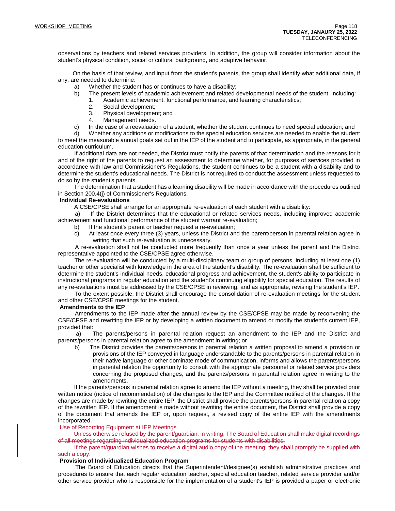observations by teachers and related services providers. In addition, the group will consider information about the student's physical condition, social or cultural background, and adaptive behavior.

 On the basis of that review, and input from the student's parents, the group shall identify what additional data, if any, are needed to determine:

- a) Whether the student has or continues to have a disability;
- b) The present levels of academic achievement and related developmental needs of the student, including:
	- 1. Academic achievement, functional performance, and learning characteristics;
	- 2. Social development;
	- 3. Physical development; and
	- 4. Management needs.
- c) In the case of a reevaluation of a student, whether the student continues to need special education; and

 d) Whether any additions or modifications to the special education services are needed to enable the student to meet the measurable annual goals set out in the IEP of the student and to participate, as appropriate, in the general education curriculum.

 If additional data are not needed, the District must notify the parents of that determination and the reasons for it and of the right of the parents to request an assessment to determine whether, for purposes of services provided in accordance with law and Commissioner's Regulations, the student continues to be a student with a disability and to determine the student's educational needs. The District is not required to conduct the assessment unless requested to do so by the student's parents.

 The determination that a student has a learning disability will be made in accordance with the procedures outlined in Section 200.4(j) of Commissioner's Regulations.

#### **Individual Re-evaluations**

A CSE/CPSE shall arrange for an appropriate re-evaluation of each student with a disability:

 a) If the District determines that the educational or related services needs, including improved academic achievement and functional performance of the student warrant re-evaluation;

- b) If the student's parent or teacher request a re-evaluation;
- c) At least once every three (3) years, unless the District and the parent/person in parental relation agree in writing that such re-evaluation is unnecessary.

 A re-evaluation shall not be conducted more frequently than once a year unless the parent and the District representative appointed to the CSE/CPSE agree otherwise.

 The re-evaluation will be conducted by a multi-disciplinary team or group of persons, including at least one (1) teacher or other specialist with knowledge in the area of the student's disability. The re-evaluation shall be sufficient to determine the student's individual needs, educational progress and achievement, the student's ability to participate in instructional programs in regular education and the student's continuing eligibility for special education. The results of any re-evaluations must be addressed by the CSE/CPSE in reviewing, and as appropriate, revising the student's IEP.

 To the extent possible, the District shall encourage the consolidation of re-evaluation meetings for the student and other CSE/CPSE meetings for the student.

#### **Amendments to the IEP**

 Amendments to the IEP made after the annual review by the CSE/CPSE may be made by reconvening the CSE/CPSE and rewriting the IEP or by developing a written document to amend or modify the student's current IEP, provided that:

 a) The parents/persons in parental relation request an amendment to the IEP and the District and parents/persons in parental relation agree to the amendment in writing; or

 b) The District provides the parents/persons in parental relation a written proposal to amend a provision or provisions of the IEP conveyed in language understandable to the parents/persons in parental relation in their native language or other dominate mode of communication, informs and allows the parents/persons in parental relation the opportunity to consult with the appropriate personnel or related service providers concerning the proposed changes, and the parents/persons in parental relation agree in writing to the amendments.

 If the parents/persons in parental relation agree to amend the IEP without a meeting, they shall be provided prior written notice (notice of recommendation) of the changes to the IEP and the Committee notified of the changes. If the changes are made by rewriting the entire IEP, the District shall provide the parents/persons in parental relation a copy of the rewritten IEP. If the amendment is made without rewriting the entire document, the District shall provide a copy of the document that amends the IEP or, upon request, a revised copy of the entire IEP with the amendments incorporated.

#### Use of Recording Equipment at IEP Meetings

 Unless otherwise refused by the parent/guardian, in writing, The Board of Education shall make digital recordings of all meetings regarding individualized education programs for students with disabilities.

 If the parent/guardian wishes to receive a digital audio copy of the meeting, they shall promptly be supplied with such a copy.

#### **Provision of Individualized Education Program**

 The Board of Education directs that the Superintendent/designee(s) establish administrative practices and procedures to ensure that each regular education teacher, special education teacher, related service provider and/or other service provider who is responsible for the implementation of a student's IEP is provided a paper or electronic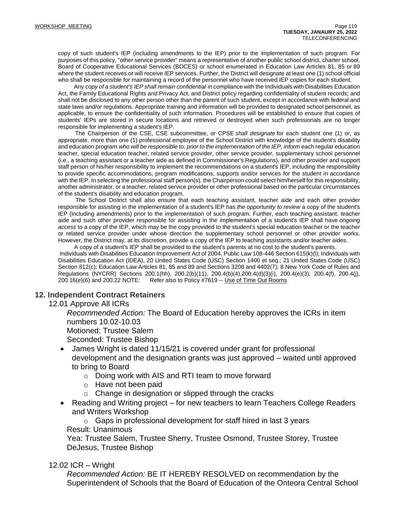copy of such student's IEP (including amendments to the IEP) prior to the implementation of such program. For purposes of this policy, "other service provider" means a representative of another public school district, charter school, Board of Cooperative Educational Services (BOCES) or school enumerated in Education Law Articles 81, 85 or 89 where the student receives or will receive IEP services. Further, the District will designate at least one (1) school official who shall be responsible for maintaining a record of the personnel who have received IEP copies for each student.

 Any *copy of a student's IEP shall remain confidential* in compliance with the Individuals with Disabilities Education Act, the Family Educational Rights and Privacy Act, and District policy regarding confidentiality of student records; and shall not be disclosed to any other person other than the parent of such student, except in accordance with federal and state laws and/or regulations. Appropriate training and information will be provided to designated school personnel, as applicable, to ensure the confidentiality of such information. Procedures will be established to ensure that copies of students' IEPs are stored in secure locations and retrieved or destroyed when such professionals are no longer responsible for implementing a student's IEP.

 The Chairperson of the CSE, CSE subcommittee, or CPSE *shall designate* for each student one (1) or, as appropriate, more than one (1) professional employee of the School District with knowledge of the student's disability and education program *who will be responsible to, prior to the implementation of the IEP, inform* each regular education teacher, special education teacher, related service provider, other service provider, supplementary school personnel (i.e., a teaching assistant or a teacher aide as defined in Commissioner's Regulations), and other provider and support staff person of his/her responsibility to implement the recommendations on a student's IEP, including the responsibility to provide specific accommodations, program modifications, supports and/or services for the student in accordance with the IEP. In selecting the professional staff person(s), the Chairperson could select him/herself for this responsibility, another administrator, or a teacher, related service provider or other professional based on the particular circumstances of the student's disability and education program.

 The School District shall also ensure that each teaching assistant, teacher aide and each other provider responsible for assisting in the implementation of a student's IEP has *the opportunity to review* a copy of the student's IEP (including amendments) prior to the implementation of such program. Further, each teaching assistant, teacher aide and such other provider responsible for assisting in the implementation of a student's IEP shall have *ongoing access* to a copy of the IEP, which may be the copy provided to the student's special education teacher or the teacher or related service provider under whose direction the supplementary school personnel or other provider works. However, the District may, at its discretion, provide a copy of the IEP to teaching assistants and/or teacher aides.

 A copy of a student's IEP shall be provided to the student's parents at no cost to the student's parents. Individuals with Disabilities Education Improvement Act of 2004, Public Law 108-446 Section 615(k)(l); Individuals with Disabilities Education Act (IDEA), 20 United States Code (USC) Section 1400 et seq.; 21 United States Code (USC) Section 812(c); Education Law Articles 81, 85 and 89 and Sections 3208 and 4402(7); 8 New York Code of Rules and Regulations (NYCRR) Sections 200.1(hh), 200.2(b)(11), 200.4(b)(4),200.4(d)(3)(i), 200.4(e)(3), 200.4(f), 200.4(j),  $200.16(e)(6)$  and  $200.22$  NOTE: Refer also to Policy #7619 -- Use of Time Out Rooms

## **12. Independent Contract Retainers**

12.01 Approve All ICRs

*Recommended Action:* The Board of Education hereby approves the ICRs in item numbers 10.02-10.03

Motioned: Trustee Salem

Seconded: Trustee Bishop

- James Wright is dated 11/15/21 is covered under grant for professional development and the designation grants was just approved – waited until approved to bring to Board
	- o Doing work with AIS and RTI team to move forward
	- o Have not been paid
	- $\circ$  Change in designation or slipped through the cracks
- Reading and Writing project for new teachers to learn Teachers College Readers and Writers Workshop

 $\circ$  Gaps in professional development for staff hired in last 3 years Result: Unanimous

Yea: Trustee Salem, Trustee Sherry, Trustee Osmond, Trustee Storey, Trustee DeJesus, Trustee Bishop

### 12.02 ICR – Wright

*Recommended Action:* BE IT HEREBY RESOLVED on recommendation by the Superintendent of Schools that the Board of Education of the Onteora Central School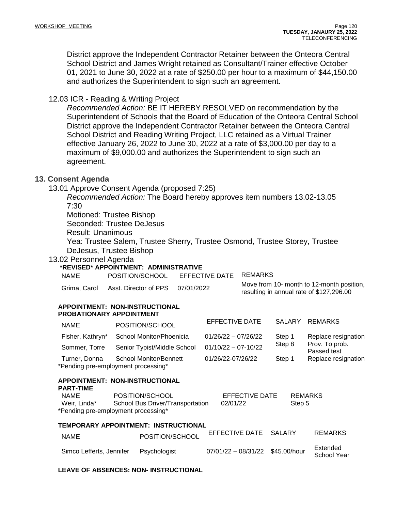District approve the Independent Contractor Retainer between the Onteora Central School District and James Wright retained as Consultant/Trainer effective October 01, 2021 to June 30, 2022 at a rate of \$250.00 per hour to a maximum of \$44,150.00 and authorizes the Superintendent to sign such an agreement.

## 12.03 ICR - Reading & Writing Project

*Recommended Action:* BE IT HEREBY RESOLVED on recommendation by the Superintendent of Schools that the Board of Education of the Onteora Central School District approve the Independent Contractor Retainer between the Onteora Central School District and Reading Writing Project, LLC retained as a Virtual Trainer effective January 26, 2022 to June 30, 2022 at a rate of \$3,000.00 per day to a maximum of \$9,000.00 and authorizes the Superintendent to sign such an agreement.

## **13. Consent Agenda**

13.01 Approve Consent Agenda (proposed 7:25)

*Recommended Action:* The Board hereby approves item numbers 13.02-13.05 7:30

Motioned: Trustee Bishop

Seconded: Trustee DeJesus

Result: Unanimous

Yea: Trustee Salem, Trustee Sherry, Trustee Osmond, Trustee Storey, Trustee DeJesus, Trustee Bishop

### 13.02 Personnel Agenda

### **\*REVISED\* APPOINTMENT: ADMINISTRATIVE**

NAME POSITION/SCHOOL EFFECTIVE DATE REMARKS

Grima, Carol Asst. Director of PPS 07/01/2022 Move from 10- month to 12-month position,

resulting in annual rate of \$127,296.00

#### **APPOINTMENT: NON-INSTRUCTIONAL PROBATIONARY APPOINTMENT**

| <b>NAME</b>      | POSITION/SCHOOL                                               | EFFECTIVE DATE        | <b>SALARY</b> | REMARKS                       |
|------------------|---------------------------------------------------------------|-----------------------|---------------|-------------------------------|
| Fisher, Kathryn* | School Monitor/Phoenicia                                      | $01/26/22 - 07/26/22$ | Step 1        | Replace resignation           |
| Sommer, Torre    | Senior Typist/Middle School                                   | $01/10/22 - 07-10/22$ | Step 8        | Prov. To prob.<br>Passed test |
| Turner, Donna    | School Monitor/Bennett<br>*Pending pre-employment processing* | 01/26/22-07/26/22     | Step 1        | Replace resignation           |

#### **APPOINTMENT: NON-INSTRUCTIONAL PART-TIME**

| <b>NAME</b>                         | POSITION/SCHOOL                  | EFFECTIVE DATE | REMARKS |  |
|-------------------------------------|----------------------------------|----------------|---------|--|
| Weir. Linda*                        | School Bus Driver/Transportation | 02/01/22       | Step 5  |  |
| *Pending pre-employment processing* |                                  |                |         |  |

#### **TEMPORARY APPOINTMENT: INSTRUCTIONAL**

| NAME                     | POSITION/SCHOOL | EFFECTIVE DATE SALARY            | <b>REMARKS</b>          |
|--------------------------|-----------------|----------------------------------|-------------------------|
| Simco Lefferts, Jennifer | Psychologist    | 07/01/22 - 08/31/22 \$45.00/hour | Extended<br>School Year |

### **LEAVE OF ABSENCES: NON- INSTRUCTIONAL**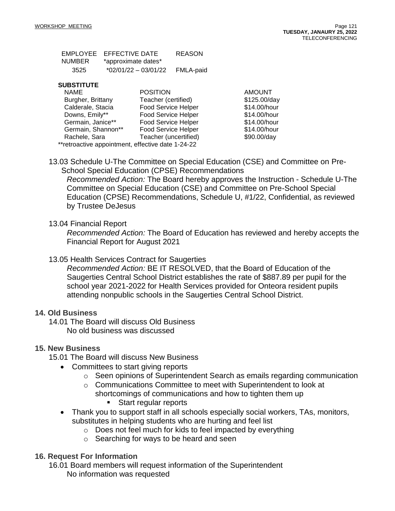|        | EMPLOYEE EFFECTIVE DATE | <b>REASON</b> |
|--------|-------------------------|---------------|
| NUMBER | *approximate dates*     |               |
| 3525   | *02/01/22 - 03/01/22    | FMLA-paid     |

#### **SUBSTITUTE**

| <b>NAME</b>                                       | <b>POSITION</b>            | <b>AMOUNT</b> |
|---------------------------------------------------|----------------------------|---------------|
| Burgher, Brittany                                 | Teacher (certified)        | \$125.00/day  |
| Calderale, Stacia                                 | <b>Food Service Helper</b> | \$14.00/hour  |
| Downs, Emily**                                    | <b>Food Service Helper</b> | \$14.00/hour  |
| Germain, Janice**                                 | <b>Food Service Helper</b> | \$14.00/hour  |
| Germain, Shannon**                                | Food Service Helper        | \$14.00/hour  |
| Rachele, Sara                                     | Teacher (uncertified)      | \$90.00/day   |
| **retroactive appointment, effective date 1-24-22 |                            |               |

13.03 Schedule U-The Committee on Special Education (CSE) and Committee on Pre-School Special Education (CPSE) Recommendations

*Recommended Action:* The Board hereby approves the Instruction - Schedule U-The Committee on Special Education (CSE) and Committee on Pre-School Special Education (CPSE) Recommendations, Schedule U, #1/22, Confidential, as reviewed by Trustee DeJesus

## 13.04 Financial Report

*Recommended Action:* The Board of Education has reviewed and hereby accepts the Financial Report for August 2021

## 13.05 Health Services Contract for Saugerties

*Recommended Action:* BE IT RESOLVED, that the Board of Education of the Saugerties Central School District establishes the rate of \$887.89 per pupil for the school year 2021-2022 for Health Services provided for Onteora resident pupils attending nonpublic schools in the Saugerties Central School District.

## **14. Old Business**

14.01 The Board will discuss Old Business No old business was discussed

## **15. New Business**

- 15.01 The Board will discuss New Business
	- Committees to start giving reports
		- $\circ$  Seen opinions of Superintendent Search as emails regarding communication
		- o Communications Committee to meet with Superintendent to look at
			- shortcomings of communications and how to tighten them up ■ Start regular reports
	- Thank you to support staff in all schools especially social workers, TAs, monitors, substitutes in helping students who are hurting and feel list
		- o Does not feel much for kids to feel impacted by everything
		- o Searching for ways to be heard and seen

## **16. Request For Information**

16.01 Board members will request information of the Superintendent No information was requested